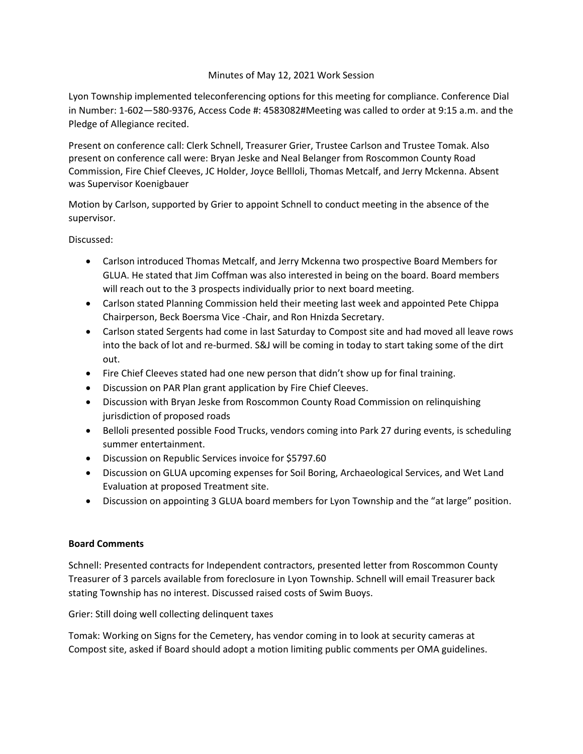## Minutes of May 12, 2021 Work Session

Lyon Township implemented teleconferencing options for this meeting for compliance. Conference Dial in Number: 1-602—580-9376, Access Code #: 4583082#Meeting was called to order at 9:15 a.m. and the Pledge of Allegiance recited.

Present on conference call: Clerk Schnell, Treasurer Grier, Trustee Carlson and Trustee Tomak. Also present on conference call were: Bryan Jeske and Neal Belanger from Roscommon County Road Commission, Fire Chief Cleeves, JC Holder, Joyce Bellloli, Thomas Metcalf, and Jerry Mckenna. Absent was Supervisor Koenigbauer

Motion by Carlson, supported by Grier to appoint Schnell to conduct meeting in the absence of the supervisor.

Discussed:

- Carlson introduced Thomas Metcalf, and Jerry Mckenna two prospective Board Members for GLUA. He stated that Jim Coffman was also interested in being on the board. Board members will reach out to the 3 prospects individually prior to next board meeting.
- Carlson stated Planning Commission held their meeting last week and appointed Pete Chippa Chairperson, Beck Boersma Vice -Chair, and Ron Hnizda Secretary.
- Carlson stated Sergents had come in last Saturday to Compost site and had moved all leave rows into the back of lot and re-burmed. S&J will be coming in today to start taking some of the dirt out.
- Fire Chief Cleeves stated had one new person that didn't show up for final training.
- Discussion on PAR Plan grant application by Fire Chief Cleeves.
- Discussion with Bryan Jeske from Roscommon County Road Commission on relinquishing jurisdiction of proposed roads
- Belloli presented possible Food Trucks, vendors coming into Park 27 during events, is scheduling summer entertainment.
- Discussion on Republic Services invoice for \$5797.60
- Discussion on GLUA upcoming expenses for Soil Boring, Archaeological Services, and Wet Land Evaluation at proposed Treatment site.
- Discussion on appointing 3 GLUA board members for Lyon Township and the "at large" position.

## **Board Comments**

Schnell: Presented contracts for Independent contractors, presented letter from Roscommon County Treasurer of 3 parcels available from foreclosure in Lyon Township. Schnell will email Treasurer back stating Township has no interest. Discussed raised costs of Swim Buoys.

Grier: Still doing well collecting delinquent taxes

Tomak: Working on Signs for the Cemetery, has vendor coming in to look at security cameras at Compost site, asked if Board should adopt a motion limiting public comments per OMA guidelines.